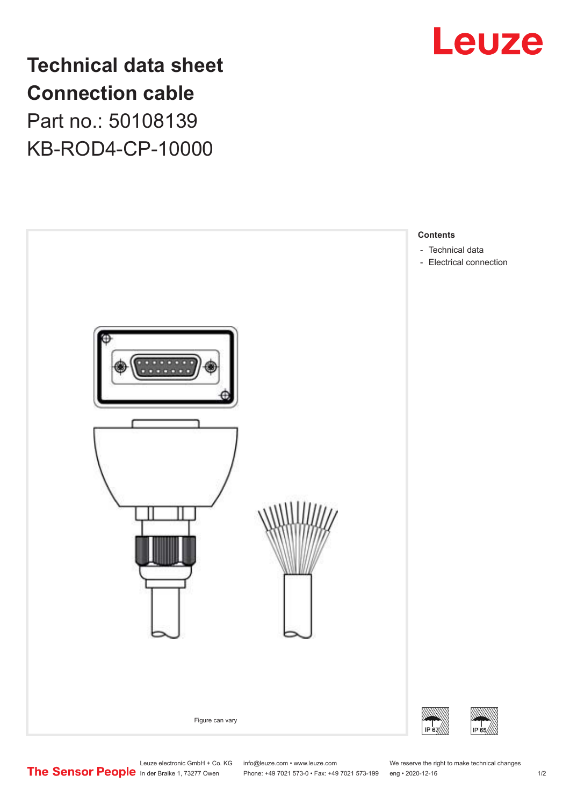

**Technical data sheet Connection cable** Part no.: 50108139 KB-ROD4-CP-10000



Leuze electronic GmbH + Co. KG info@leuze.com • www.leuze.com We reserve the right to make technical changes<br>
The Sensor People in der Braike 1, 73277 Owen Phone: +49 7021 573-0 • Fax: +49 7021 573-199 eng • 2020-12-16

Phone: +49 7021 573-0 • Fax: +49 7021 573-199 eng • 2020-12-16